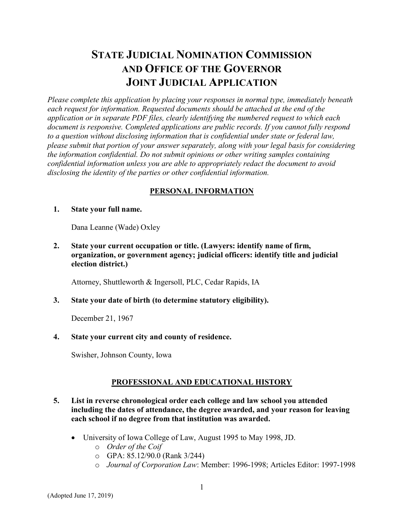# STATE JUDICIAL NOMINATION COMMISSION AND OFFICE OF THE GOVERNOR JOINT JUDICIAL APPLICATION

Please complete this application by placing your responses in normal type, immediately beneath each request for information. Requested documents should be attached at the end of the application or in separate PDF files, clearly identifying the numbered request to which each document is responsive. Completed applications are public records. If you cannot fully respond to a question without disclosing information that is confidential under state or federal law, please submit that portion of your answer separately, along with your legal basis for considering the information confidential. Do not submit opinions or other writing samples containing confidential information unless you are able to appropriately redact the document to avoid disclosing the identity of the parties or other confidential information.

# PERSONAL INFORMATION

#### 1. State your full name.

Dana Leanne (Wade) Oxley

2. State your current occupation or title. (Lawyers: identify name of firm, organization, or government agency; judicial officers: identify title and judicial election district.)

Attorney, Shuttleworth & Ingersoll, PLC, Cedar Rapids, IA

# 3. State your date of birth (to determine statutory eligibility).

December 21, 1967

# 4. State your current city and county of residence.

Swisher, Johnson County, Iowa

# PROFESSIONAL AND EDUCATIONAL HISTORY

## 5. List in reverse chronological order each college and law school you attended including the dates of attendance, the degree awarded, and your reason for leaving each school if no degree from that institution was awarded.

- University of Iowa College of Law, August 1995 to May 1998, JD.
	- o Order of the Coif
	- o GPA: 85.12/90.0 (Rank 3/244)
	- o Journal of Corporation Law: Member: 1996-1998; Articles Editor: 1997-1998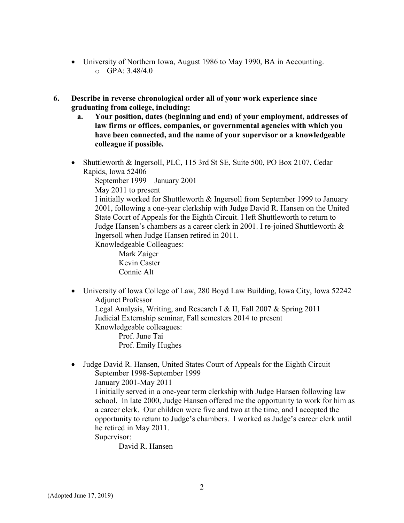- University of Northern Iowa, August 1986 to May 1990, BA in Accounting.  $O$  GPA: 3.48/4.0
- 6. Describe in reverse chronological order all of your work experience since graduating from college, including:
	- a. Your position, dates (beginning and end) of your employment, addresses of law firms or offices, companies, or governmental agencies with which you have been connected, and the name of your supervisor or a knowledgeable colleague if possible.
	- Shuttleworth & Ingersoll, PLC, 115 3rd St SE, Suite 500, PO Box 2107, Cedar Rapids, Iowa 52406

September 1999 – January 2001

May 2011 to present

I initially worked for Shuttleworth & Ingersoll from September 1999 to January 2001, following a one-year clerkship with Judge David R. Hansen on the United State Court of Appeals for the Eighth Circuit. I left Shuttleworth to return to Judge Hansen's chambers as a career clerk in 2001. I re-joined Shuttleworth & Ingersoll when Judge Hansen retired in 2011.

Knowledgeable Colleagues:

 Mark Zaiger Kevin Caster Connie Alt

 University of Iowa College of Law, 280 Boyd Law Building, Iowa City, Iowa 52242 Adjunct Professor

Legal Analysis, Writing, and Research I & II, Fall 2007 & Spring 2011 Judicial Externship seminar, Fall semesters 2014 to present Knowledgeable colleagues:

Prof. June Tai Prof. Emily Hughes

• Judge David R. Hansen, United States Court of Appeals for the Eighth Circuit September 1998-September 1999 January 2001-May 2011

I initially served in a one-year term clerkship with Judge Hansen following law school. In late 2000, Judge Hansen offered me the opportunity to work for him as a career clerk. Our children were five and two at the time, and I accepted the opportunity to return to Judge's chambers. I worked as Judge's career clerk until he retired in May 2011.

Supervisor:

David R. Hansen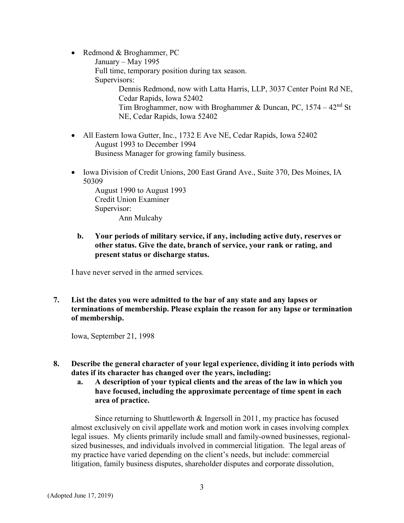- Redmond & Broghammer, PC January – May 1995 Full time, temporary position during tax season. Supervisors: Dennis Redmond, now with Latta Harris, LLP, 3037 Center Point Rd NE, Cedar Rapids, Iowa 52402 Tim Broghammer, now with Broghammer & Duncan, PC,  $1574 - 42<sup>nd</sup>$  St NE, Cedar Rapids, Iowa 52402
- All Eastern Iowa Gutter, Inc., 1732 E Ave NE, Cedar Rapids, Iowa 52402 August 1993 to December 1994 Business Manager for growing family business.
- Iowa Division of Credit Unions, 200 East Grand Ave., Suite 370, Des Moines, IA 50309

August 1990 to August 1993 Credit Union Examiner Supervisor: Ann Mulcahy

b. Your periods of military service, if any, including active duty, reserves or other status. Give the date, branch of service, your rank or rating, and present status or discharge status.

I have never served in the armed services.

7. List the dates you were admitted to the bar of any state and any lapses or terminations of membership. Please explain the reason for any lapse or termination of membership.

Iowa, September 21, 1998

- 8. Describe the general character of your legal experience, dividing it into periods with dates if its character has changed over the years, including:
	- a. A description of your typical clients and the areas of the law in which you have focused, including the approximate percentage of time spent in each area of practice.

Since returning to Shuttleworth & Ingersoll in 2011, my practice has focused almost exclusively on civil appellate work and motion work in cases involving complex legal issues. My clients primarily include small and family-owned businesses, regionalsized businesses, and individuals involved in commercial litigation. The legal areas of my practice have varied depending on the client's needs, but include: commercial litigation, family business disputes, shareholder disputes and corporate dissolution,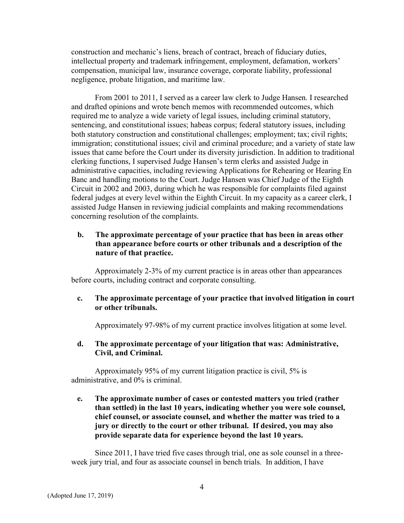construction and mechanic's liens, breach of contract, breach of fiduciary duties, intellectual property and trademark infringement, employment, defamation, workers' compensation, municipal law, insurance coverage, corporate liability, professional negligence, probate litigation, and maritime law.

From 2001 to 2011, I served as a career law clerk to Judge Hansen. I researched and drafted opinions and wrote bench memos with recommended outcomes, which required me to analyze a wide variety of legal issues, including criminal statutory, sentencing, and constitutional issues; habeas corpus; federal statutory issues, including both statutory construction and constitutional challenges; employment; tax; civil rights; immigration; constitutional issues; civil and criminal procedure; and a variety of state law issues that came before the Court under its diversity jurisdiction. In addition to traditional clerking functions, I supervised Judge Hansen's term clerks and assisted Judge in administrative capacities, including reviewing Applications for Rehearing or Hearing En Banc and handling motions to the Court. Judge Hansen was Chief Judge of the Eighth Circuit in 2002 and 2003, during which he was responsible for complaints filed against federal judges at every level within the Eighth Circuit. In my capacity as a career clerk, I assisted Judge Hansen in reviewing judicial complaints and making recommendations concerning resolution of the complaints.

#### b. The approximate percentage of your practice that has been in areas other than appearance before courts or other tribunals and a description of the nature of that practice.

Approximately 2-3% of my current practice is in areas other than appearances before courts, including contract and corporate consulting.

#### c. The approximate percentage of your practice that involved litigation in court or other tribunals.

Approximately 97-98% of my current practice involves litigation at some level.

#### d. The approximate percentage of your litigation that was: Administrative, Civil, and Criminal.

Approximately 95% of my current litigation practice is civil, 5% is administrative, and 0% is criminal.

## e. The approximate number of cases or contested matters you tried (rather than settled) in the last 10 years, indicating whether you were sole counsel, chief counsel, or associate counsel, and whether the matter was tried to a jury or directly to the court or other tribunal. If desired, you may also provide separate data for experience beyond the last 10 years.

Since 2011, I have tried five cases through trial, one as sole counsel in a threeweek jury trial, and four as associate counsel in bench trials. In addition, I have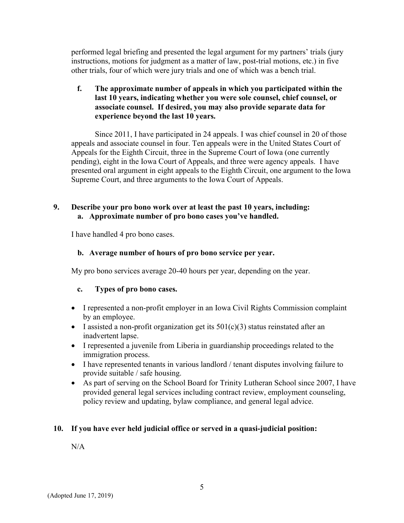performed legal briefing and presented the legal argument for my partners' trials (jury instructions, motions for judgment as a matter of law, post-trial motions, etc.) in five other trials, four of which were jury trials and one of which was a bench trial.

# f. The approximate number of appeals in which you participated within the last 10 years, indicating whether you were sole counsel, chief counsel, or associate counsel. If desired, you may also provide separate data for experience beyond the last 10 years.

Since 2011, I have participated in 24 appeals. I was chief counsel in 20 of those appeals and associate counsel in four. Ten appeals were in the United States Court of Appeals for the Eighth Circuit, three in the Supreme Court of Iowa (one currently pending), eight in the Iowa Court of Appeals, and three were agency appeals. I have presented oral argument in eight appeals to the Eighth Circuit, one argument to the Iowa Supreme Court, and three arguments to the Iowa Court of Appeals.

## 9. Describe your pro bono work over at least the past 10 years, including: a. Approximate number of pro bono cases you've handled.

I have handled 4 pro bono cases.

# b. Average number of hours of pro bono service per year.

My pro bono services average 20-40 hours per year, depending on the year.

# c. Types of pro bono cases.

- I represented a non-profit employer in an Iowa Civil Rights Commission complaint by an employee.
- I assisted a non-profit organization get its  $501(c)(3)$  status reinstated after an inadvertent lapse.
- I represented a juvenile from Liberia in guardianship proceedings related to the immigration process.
- I have represented tenants in various landlord / tenant disputes involving failure to provide suitable / safe housing.
- As part of serving on the School Board for Trinity Lutheran School since 2007, I have provided general legal services including contract review, employment counseling, policy review and updating, bylaw compliance, and general legal advice.

# 10. If you have ever held judicial office or served in a quasi-judicial position:

N/A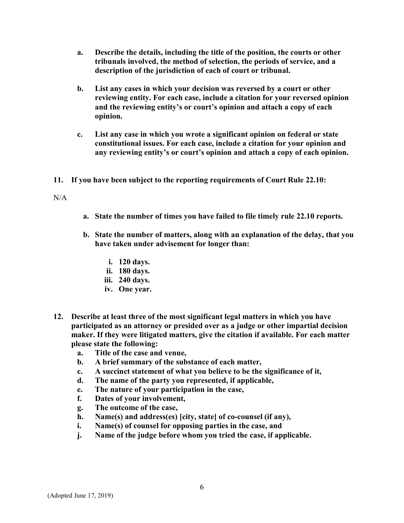- a. Describe the details, including the title of the position, the courts or other tribunals involved, the method of selection, the periods of service, and a description of the jurisdiction of each of court or tribunal.
- b. List any cases in which your decision was reversed by a court or other reviewing entity. For each case, include a citation for your reversed opinion and the reviewing entity's or court's opinion and attach a copy of each opinion.
- c. List any case in which you wrote a significant opinion on federal or state constitutional issues. For each case, include a citation for your opinion and any reviewing entity's or court's opinion and attach a copy of each opinion.
- 11. If you have been subject to the reporting requirements of Court Rule 22.10:

 $N/A$ 

- a. State the number of times you have failed to file timely rule 22.10 reports.
- b. State the number of matters, along with an explanation of the delay, that you have taken under advisement for longer than:
	- i. 120 days.
	- ii. 180 days.
	- iii. 240 days.
	- iv. One year.
- 12. Describe at least three of the most significant legal matters in which you have participated as an attorney or presided over as a judge or other impartial decision maker. If they were litigated matters, give the citation if available. For each matter please state the following:
	- a. Title of the case and venue,
	- b. A brief summary of the substance of each matter,
	- c. A succinct statement of what you believe to be the significance of it,
	- d. The name of the party you represented, if applicable,
	- e. The nature of your participation in the case,
	- f. Dates of your involvement,
	- g. The outcome of the case,
	- h. Name(s) and address(es) [city, state] of co-counsel (if any),
	- i. Name(s) of counsel for opposing parties in the case, and
	- j. Name of the judge before whom you tried the case, if applicable.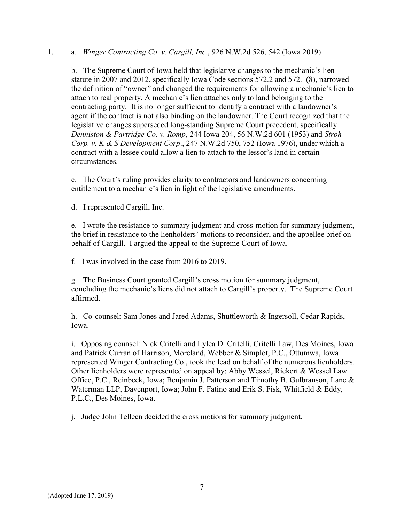#### 1. a. Winger Contracting Co. v. Cargill, Inc., 926 N.W.2d 526, 542 (Iowa 2019)

b. The Supreme Court of Iowa held that legislative changes to the mechanic's lien statute in 2007 and 2012, specifically Iowa Code sections 572.2 and 572.1(8), narrowed the definition of "owner" and changed the requirements for allowing a mechanic's lien to attach to real property. A mechanic's lien attaches only to land belonging to the contracting party. It is no longer sufficient to identify a contract with a landowner's agent if the contract is not also binding on the landowner. The Court recognized that the legislative changes superseded long-standing Supreme Court precedent, specifically Denniston & Partridge Co. v. Romp, 244 Iowa 204, 56 N.W.2d 601 (1953) and Stroh Corp. v.  $K & S$  Development Corp., 247 N.W.2d 750, 752 (Iowa 1976), under which a contract with a lessee could allow a lien to attach to the lessor's land in certain circumstances.

c. The Court's ruling provides clarity to contractors and landowners concerning entitlement to a mechanic's lien in light of the legislative amendments.

d. I represented Cargill, Inc.

e. I wrote the resistance to summary judgment and cross-motion for summary judgment, the brief in resistance to the lienholders' motions to reconsider, and the appellee brief on behalf of Cargill. I argued the appeal to the Supreme Court of Iowa.

f. I was involved in the case from 2016 to 2019.

g. The Business Court granted Cargill's cross motion for summary judgment, concluding the mechanic's liens did not attach to Cargill's property. The Supreme Court affirmed.

h. Co-counsel: Sam Jones and Jared Adams, Shuttleworth & Ingersoll, Cedar Rapids, Iowa.

i. Opposing counsel: Nick Critelli and Lylea D. Critelli, Critelli Law, Des Moines, Iowa and Patrick Curran of Harrison, Moreland, Webber & Simplot, P.C., Ottumwa, Iowa represented Winger Contracting Co., took the lead on behalf of the numerous lienholders. Other lienholders were represented on appeal by: Abby Wessel, Rickert & Wessel Law Office, P.C., Reinbeck, Iowa; Benjamin J. Patterson and Timothy B. Gulbranson, Lane & Waterman LLP, Davenport, Iowa; John F. Fatino and Erik S. Fisk, Whitfield & Eddy, P.L.C., Des Moines, Iowa.

j. Judge John Telleen decided the cross motions for summary judgment.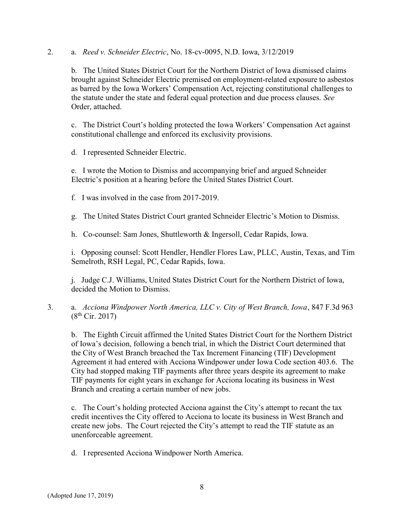2. a. Reed v. Schneider Electric, No. 18-cv-0095, N.D. Iowa, 3/12/2019

b. The United States District Court for the Northern District of Iowa dismissed claims brought against Schneider Electric premised on employment-related exposure to asbestos as barred by the Iowa Workers' Compensation Act, rejecting constitutional challenges to the statute under the state and federal equal protection and due process clauses. See Order, attached.

c. The District Court's holding protected the Iowa Workers' Compensation Act against constitutional challenge and enforced its exclusivity provisions.

d. I represented Schneider Electric.

e. I wrote the Motion to Dismiss and accompanying brief and argued Schneider Electric's position at a hearing before the United States District Court.

f. I was involved in the case from 2017-2019.

g. The United States District Court granted Schneider Electric's Motion to Dismiss.

h. Co-counsel: Sam Jones, Shuttleworth & Ingersoll, Cedar Rapids, Iowa.

i. Opposing counsel: Scott Hendler, Hendler Flores Law, PLLC, Austin, Texas, and Tim Semelroth, RSH Legal, PC, Cedar Rapids, Iowa.

j. Judge C.J. Williams, United States District Court for the Northern District of Iowa, decided the Motion to Dismiss.

3. a. Acciona Windpower North America, LLC v. City of West Branch, Iowa, 847 F.3d 963  $(8^{th}$  Cir. 2017)

b. The Eighth Circuit affirmed the United States District Court for the Northern District of Iowa's decision, following a bench trial, in which the District Court determined that the City of West Branch breached the Tax Increment Financing (TIF) Development Agreement it had entered with Acciona Windpower under Iowa Code section 403.6. The City had stopped making TIF payments after three years despite its agreement to make TIF payments for eight years in exchange for Acciona locating its business in West Branch and creating a certain number of new jobs.

c. The Court's holding protected Acciona against the City's attempt to recant the tax credit incentives the City offered to Acciona to locate its business in West Branch and create new jobs. The Court rejected the City's attempt to read the TIF statute as an unenforceable agreement.

d. I represented Acciona Windpower North America.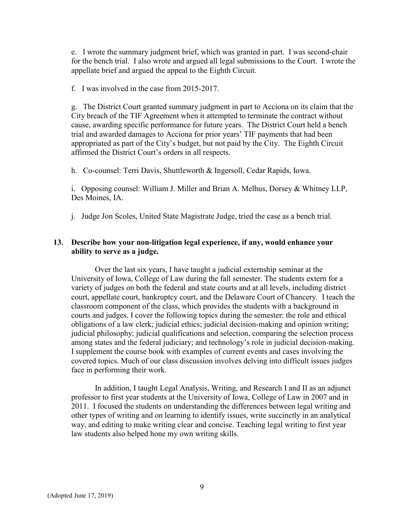e. I wrote the summary judgment brief, which was granted in part. I was second-chair for the bench trial. I also wrote and argued all legal submissions to the Court. I wrote the appellate brief and argued the appeal to the Eighth Circuit.

f. I was involved in the case from 2015-2017.

g. The District Court granted summary judgment in part to Acciona on its claim that the City breach of the TIF Agreement when it attempted to terminate the contract without cause, awarding specific performance for future years. The District Court held a bench trial and awarded damages to Acciona for prior years' TIF payments that had been appropriated as part of the City's budget, but not paid by the City. The Eighth Circuit affirmed the District Court's orders in all respects.

h. Co-counsel: Terri Davis, Shuttleworth & Ingersoll, Cedar Rapids, Iowa.

i. Opposing counsel: William J. Miller and Brian A. Melhus, Dorsey & Whitney LLP, Des Moines, IA.

j. Judge Jon Scoles, United State Magistrate Judge, tried the case as a bench trial.

#### 13. Describe how your non-litigation legal experience, if any, would enhance your ability to serve as a judge.

Over the last six years, I have taught a judicial externship seminar at the University of Iowa, College of Law during the fall semester. The students extern for a variety of judges on both the federal and state courts and at all levels, including district court, appellate court, bankruptcy court, and the Delaware Court of Chancery. I teach the classroom component of the class, which provides the students with a background in courts and judges. I cover the following topics during the semester: the role and ethical obligations of a law clerk; judicial ethics; judicial decision-making and opinion writing; judicial philosophy; judicial qualifications and selection, comparing the selection process among states and the federal judiciary; and technology's role in judicial decision-making. I supplement the course book with examples of current events and cases involving the covered topics. Much of our class discussion involves delving into difficult issues judges face in performing their work.

In addition, I taught Legal Analysis, Writing, and Research I and II as an adjunct professor to first year students at the University of Iowa, College of Law in 2007 and in 2011. I focused the students on understanding the differences between legal writing and other types of writing and on learning to identify issues, write succinctly in an analytical way, and editing to make writing clear and concise. Teaching legal writing to first year law students also helped hone my own writing skills.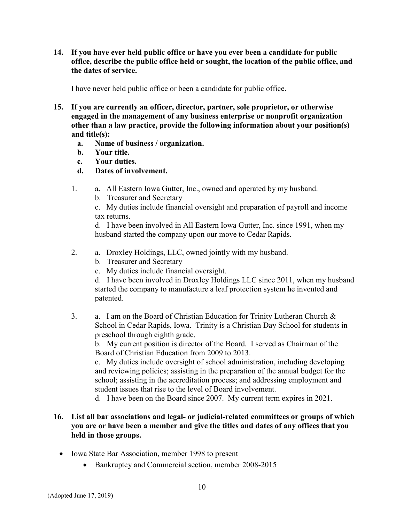14. If you have ever held public office or have you ever been a candidate for public office, describe the public office held or sought, the location of the public office, and the dates of service.

I have never held public office or been a candidate for public office.

- 15. If you are currently an officer, director, partner, sole proprietor, or otherwise engaged in the management of any business enterprise or nonprofit organization other than a law practice, provide the following information about your position(s) and title(s):
	- a. Name of business / organization.
	- b. Your title.
	- c. Your duties.
	- d. Dates of involvement.
	- 1. a. All Eastern Iowa Gutter, Inc., owned and operated by my husband.
		- b. Treasurer and Secretary

c. My duties include financial oversight and preparation of payroll and income tax returns.

d. I have been involved in All Eastern Iowa Gutter, Inc. since 1991, when my husband started the company upon our move to Cedar Rapids.

- 2. a. Droxley Holdings, LLC, owned jointly with my husband.
	- b. Treasurer and Secretary
	- c. My duties include financial oversight.

d. I have been involved in Droxley Holdings LLC since 2011, when my husband started the company to manufacture a leaf protection system he invented and patented.

3. a. I am on the Board of Christian Education for Trinity Lutheran Church & School in Cedar Rapids, Iowa. Trinity is a Christian Day School for students in preschool through eighth grade.

b. My current position is director of the Board. I served as Chairman of the Board of Christian Education from 2009 to 2013.

c. My duties include oversight of school administration, including developing and reviewing policies; assisting in the preparation of the annual budget for the school; assisting in the accreditation process; and addressing employment and student issues that rise to the level of Board involvement.

d. I have been on the Board since 2007. My current term expires in 2021.

# 16. List all bar associations and legal- or judicial-related committees or groups of which you are or have been a member and give the titles and dates of any offices that you held in those groups.

- Iowa State Bar Association, member 1998 to present
	- Bankruptcy and Commercial section, member 2008-2015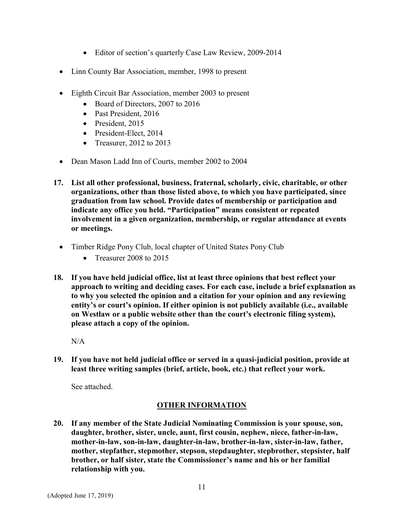- Editor of section's quarterly Case Law Review, 2009-2014
- Linn County Bar Association, member, 1998 to present
- Eighth Circuit Bar Association, member 2003 to present
	- Board of Directors, 2007 to 2016
	- Past President, 2016
	- President, 2015
	- President-Elect, 2014
	- Treasurer,  $2012$  to  $2013$
- Dean Mason Ladd Inn of Courts, member 2002 to 2004
- 17. List all other professional, business, fraternal, scholarly, civic, charitable, or other organizations, other than those listed above, to which you have participated, since graduation from law school. Provide dates of membership or participation and indicate any office you held. "Participation" means consistent or repeated involvement in a given organization, membership, or regular attendance at events or meetings.
	- Timber Ridge Pony Club, local chapter of United States Pony Club
		- Treasurer 2008 to 2015
- 18. If you have held judicial office, list at least three opinions that best reflect your approach to writing and deciding cases. For each case, include a brief explanation as to why you selected the opinion and a citation for your opinion and any reviewing entity's or court's opinion. If either opinion is not publicly available (i.e., available on Westlaw or a public website other than the court's electronic filing system), please attach a copy of the opinion.

N/A

19. If you have not held judicial office or served in a quasi-judicial position, provide at least three writing samples (brief, article, book, etc.) that reflect your work.

See attached.

# OTHER INFORMATION

20. If any member of the State Judicial Nominating Commission is your spouse, son, daughter, brother, sister, uncle, aunt, first cousin, nephew, niece, father-in-law, mother-in-law, son-in-law, daughter-in-law, brother-in-law, sister-in-law, father, mother, stepfather, stepmother, stepson, stepdaughter, stepbrother, stepsister, half brother, or half sister, state the Commissioner's name and his or her familial relationship with you.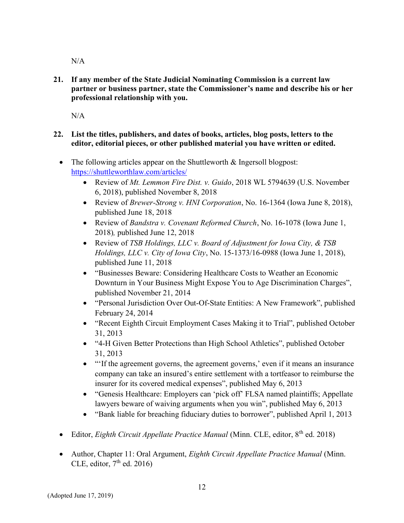N/A

21. If any member of the State Judicial Nominating Commission is a current law partner or business partner, state the Commissioner's name and describe his or her professional relationship with you.

N/A

- 22. List the titles, publishers, and dates of books, articles, blog posts, letters to the editor, editorial pieces, or other published material you have written or edited.
	- The following articles appear on the Shuttleworth & Ingersoll blogpost: https://shuttleworthlaw.com/articles/
		- Review of *Mt. Lemmon Fire Dist. v. Guido*, 2018 WL 5794639 (U.S. November 6, 2018), published November 8, 2018
		- Review of *Brewer-Strong v. HNI Corporation*, No. 16-1364 (Iowa June 8, 2018), published June 18, 2018
		- Review of Bandstra v. Covenant Reformed Church, No. 16-1078 (Iowa June 1, 2018), published June 12, 2018
		- Review of TSB Holdings, LLC v. Board of Adjustment for Iowa City, & TSB Holdings, LLC v. City of Iowa City, No. 15-1373/16-0988 (Iowa June 1, 2018), published June 11, 2018
		- "Businesses Beware: Considering Healthcare Costs to Weather an Economic Downturn in Your Business Might Expose You to Age Discrimination Charges", published November 21, 2014
		- "Personal Jurisdiction Over Out-Of-State Entities: A New Framework", published February 24, 2014
		- "Recent Eighth Circuit Employment Cases Making it to Trial", published October 31, 2013
		- "4-H Given Better Protections than High School Athletics", published October 31, 2013
		- "'If the agreement governs, the agreement governs,' even if it means an insurance company can take an insured's entire settlement with a tortfeasor to reimburse the insurer for its covered medical expenses", published May 6, 2013
		- "Genesis Healthcare: Employers can 'pick off' FLSA named plaintiffs; Appellate lawyers beware of waiving arguments when you win", published May 6, 2013
		- "Bank liable for breaching fiduciary duties to borrower", published April 1, 2013
	- Editor, Eighth Circuit Appellate Practice Manual (Minn. CLE, editor, 8<sup>th</sup> ed. 2018)
	- Author, Chapter 11: Oral Argument, Eighth Circuit Appellate Practice Manual (Minn. CLE, editor,  $7<sup>th</sup>$  ed. 2016)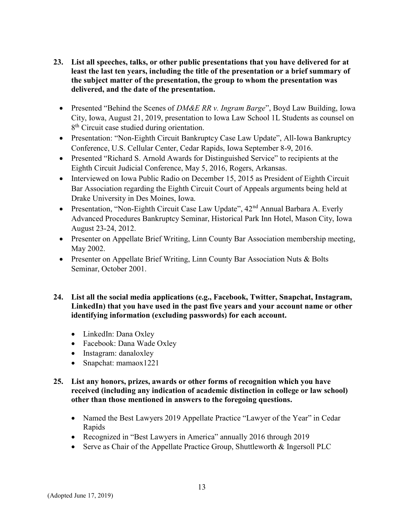- 23. List all speeches, talks, or other public presentations that you have delivered for at least the last ten years, including the title of the presentation or a brief summary of the subject matter of the presentation, the group to whom the presentation was delivered, and the date of the presentation.
	- Presented "Behind the Scenes of  $DM\&E$  RR v. Ingram Barge", Boyd Law Building, Iowa City, Iowa, August 21, 2019, presentation to Iowa Law School 1L Students as counsel on 8<sup>th</sup> Circuit case studied during orientation.
	- Presentation: "Non-Eighth Circuit Bankruptcy Case Law Update", All-Iowa Bankruptcy Conference, U.S. Cellular Center, Cedar Rapids, Iowa September 8-9, 2016.
	- Presented "Richard S. Arnold Awards for Distinguished Service" to recipients at the Eighth Circuit Judicial Conference, May 5, 2016, Rogers, Arkansas.
	- Interviewed on Iowa Public Radio on December 15, 2015 as President of Eighth Circuit Bar Association regarding the Eighth Circuit Court of Appeals arguments being held at Drake University in Des Moines, Iowa.
	- Presentation, "Non-Eighth Circuit Case Law Update", 42<sup>nd</sup> Annual Barbara A. Everly Advanced Procedures Bankruptcy Seminar, Historical Park Inn Hotel, Mason City, Iowa August 23-24, 2012.
	- Presenter on Appellate Brief Writing, Linn County Bar Association membership meeting, May 2002.
	- Presenter on Appellate Brief Writing, Linn County Bar Association Nuts & Bolts Seminar, October 2001.
- 24. List all the social media applications (e.g., Facebook, Twitter, Snapchat, Instagram, LinkedIn) that you have used in the past five years and your account name or other identifying information (excluding passwords) for each account.
	- LinkedIn: Dana Oxley
	- Facebook: Dana Wade Oxley
	- Instagram: danaloxley
	- Snapchat: mamaox1221

## 25. List any honors, prizes, awards or other forms of recognition which you have received (including any indication of academic distinction in college or law school) other than those mentioned in answers to the foregoing questions.

- Named the Best Lawyers 2019 Appellate Practice "Lawyer of the Year" in Cedar Rapids
- Recognized in "Best Lawyers in America" annually 2016 through 2019
- Serve as Chair of the Appellate Practice Group, Shuttleworth & Ingersoll PLC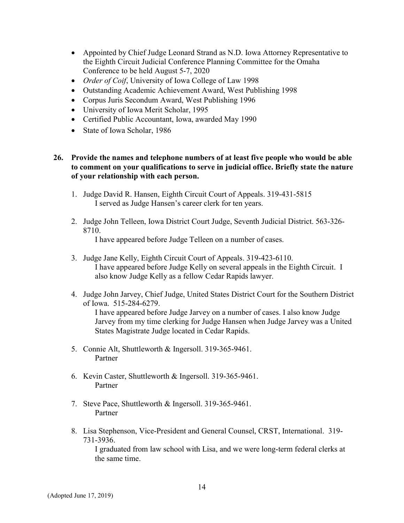- Appointed by Chief Judge Leonard Strand as N.D. Iowa Attorney Representative to the Eighth Circuit Judicial Conference Planning Committee for the Omaha Conference to be held August 5-7, 2020
- *Order of Coif*, University of Iowa College of Law 1998
- Outstanding Academic Achievement Award, West Publishing 1998
- Corpus Juris Secondum Award, West Publishing 1996
- University of Iowa Merit Scholar, 1995
- Certified Public Accountant, Iowa, awarded May 1990
- State of Iowa Scholar, 1986

26. Provide the names and telephone numbers of at least five people who would be able to comment on your qualifications to serve in judicial office. Briefly state the nature of your relationship with each person.

- 1. Judge David R. Hansen, Eighth Circuit Court of Appeals. 319-431-5815 I served as Judge Hansen's career clerk for ten years.
- 2. Judge John Telleen, Iowa District Court Judge, Seventh Judicial District. 563-326- 8710.

I have appeared before Judge Telleen on a number of cases.

- 3. Judge Jane Kelly, Eighth Circuit Court of Appeals. 319-423-6110. I have appeared before Judge Kelly on several appeals in the Eighth Circuit. I also know Judge Kelly as a fellow Cedar Rapids lawyer.
- 4. Judge John Jarvey, Chief Judge, United States District Court for the Southern District of Iowa. 515-284-6279. I have appeared before Judge Jarvey on a number of cases. I also know Judge

Jarvey from my time clerking for Judge Hansen when Judge Jarvey was a United States Magistrate Judge located in Cedar Rapids.

- 5. Connie Alt, Shuttleworth & Ingersoll. 319-365-9461. Partner
- 6. Kevin Caster, Shuttleworth & Ingersoll. 319-365-9461. Partner
- 7. Steve Pace, Shuttleworth & Ingersoll. 319-365-9461. Partner
- 8. Lisa Stephenson, Vice-President and General Counsel, CRST, International. 319- 731-3936.

I graduated from law school with Lisa, and we were long-term federal clerks at the same time.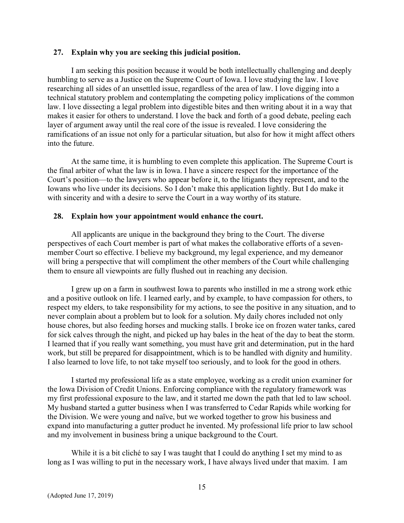#### 27. Explain why you are seeking this judicial position.

I am seeking this position because it would be both intellectually challenging and deeply humbling to serve as a Justice on the Supreme Court of Iowa. I love studying the law. I love researching all sides of an unsettled issue, regardless of the area of law. I love digging into a technical statutory problem and contemplating the competing policy implications of the common law. I love dissecting a legal problem into digestible bites and then writing about it in a way that makes it easier for others to understand. I love the back and forth of a good debate, peeling each layer of argument away until the real core of the issue is revealed. I love considering the ramifications of an issue not only for a particular situation, but also for how it might affect others into the future.

At the same time, it is humbling to even complete this application. The Supreme Court is the final arbiter of what the law is in Iowa. I have a sincere respect for the importance of the Court's position—to the lawyers who appear before it, to the litigants they represent, and to the Iowans who live under its decisions. So I don't make this application lightly. But I do make it with sincerity and with a desire to serve the Court in a way worthy of its stature.

#### 28. Explain how your appointment would enhance the court.

All applicants are unique in the background they bring to the Court. The diverse perspectives of each Court member is part of what makes the collaborative efforts of a sevenmember Court so effective. I believe my background, my legal experience, and my demeanor will bring a perspective that will compliment the other members of the Court while challenging them to ensure all viewpoints are fully flushed out in reaching any decision.

I grew up on a farm in southwest Iowa to parents who instilled in me a strong work ethic and a positive outlook on life. I learned early, and by example, to have compassion for others, to respect my elders, to take responsibility for my actions, to see the positive in any situation, and to never complain about a problem but to look for a solution. My daily chores included not only house chores, but also feeding horses and mucking stalls. I broke ice on frozen water tanks, cared for sick calves through the night, and picked up hay bales in the heat of the day to beat the storm. I learned that if you really want something, you must have grit and determination, put in the hard work, but still be prepared for disappointment, which is to be handled with dignity and humility. I also learned to love life, to not take myself too seriously, and to look for the good in others.

I started my professional life as a state employee, working as a credit union examiner for the Iowa Division of Credit Unions. Enforcing compliance with the regulatory framework was my first professional exposure to the law, and it started me down the path that led to law school. My husband started a gutter business when I was transferred to Cedar Rapids while working for the Division. We were young and naïve, but we worked together to grow his business and expand into manufacturing a gutter product he invented. My professional life prior to law school and my involvement in business bring a unique background to the Court.

While it is a bit cliché to say I was taught that I could do anything I set my mind to as long as I was willing to put in the necessary work, I have always lived under that maxim. I am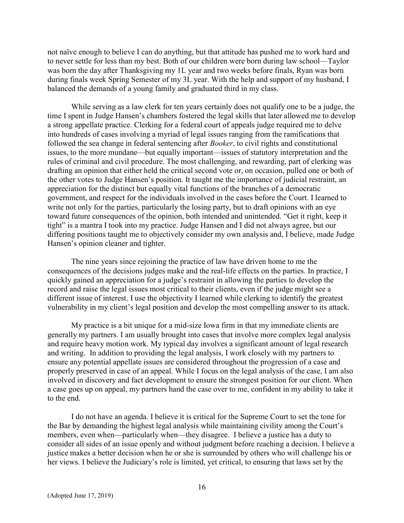not naïve enough to believe I can do anything, but that attitude has pushed me to work hard and to never settle for less than my best. Both of our children were born during law school—Taylor was born the day after Thanksgiving my 1L year and two weeks before finals, Ryan was born during finals week Spring Semester of my 3L year. With the help and support of my husband, I balanced the demands of a young family and graduated third in my class.

While serving as a law clerk for ten years certainly does not qualify one to be a judge, the time I spent in Judge Hansen's chambers fostered the legal skills that later allowed me to develop a strong appellate practice. Clerking for a federal court of appeals judge required me to delve into hundreds of cases involving a myriad of legal issues ranging from the ramifications that followed the sea change in federal sentencing after Booker, to civil rights and constitutional issues, to the more mundane—but equally important—issues of statutory interpretation and the rules of criminal and civil procedure. The most challenging, and rewarding, part of clerking was drafting an opinion that either held the critical second vote or, on occasion, pulled one or both of the other votes to Judge Hansen's position. It taught me the importance of judicial restraint, an appreciation for the distinct but equally vital functions of the branches of a democratic government, and respect for the individuals involved in the cases before the Court. I learned to write not only for the parties, particularly the losing party, but to draft opinions with an eye toward future consequences of the opinion, both intended and unintended. "Get it right, keep it tight" is a mantra I took into my practice. Judge Hansen and I did not always agree, but our differing positions taught me to objectively consider my own analysis and, I believe, made Judge Hansen's opinion cleaner and tighter.

The nine years since rejoining the practice of law have driven home to me the consequences of the decisions judges make and the real-life effects on the parties. In practice, I quickly gained an appreciation for a judge's restraint in allowing the parties to develop the record and raise the legal issues most critical to their clients, even if the judge might see a different issue of interest. I use the objectivity I learned while clerking to identify the greatest vulnerability in my client's legal position and develop the most compelling answer to its attack.

My practice is a bit unique for a mid-size Iowa firm in that my immediate clients are generally my partners. I am usually brought into cases that involve more complex legal analysis and require heavy motion work. My typical day involves a significant amount of legal research and writing. In addition to providing the legal analysis, I work closely with my partners to ensure any potential appellate issues are considered throughout the progression of a case and properly preserved in case of an appeal. While I focus on the legal analysis of the case, I am also involved in discovery and fact development to ensure the strongest position for our client. When a case goes up on appeal, my partners hand the case over to me, confident in my ability to take it to the end.

I do not have an agenda. I believe it is critical for the Supreme Court to set the tone for the Bar by demanding the highest legal analysis while maintaining civility among the Court's members, even when—particularly when—they disagree. I believe a justice has a duty to consider all sides of an issue openly and without judgment before reaching a decision. I believe a justice makes a better decision when he or she is surrounded by others who will challenge his or her views. I believe the Judiciary's role is limited, yet critical, to ensuring that laws set by the